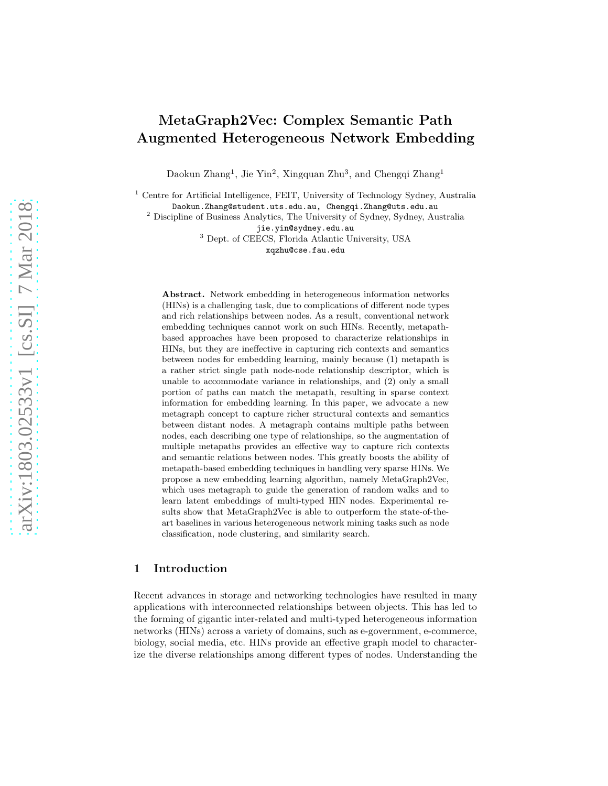# MetaGraph2Vec: Complex Semantic Path Augmented Heterogeneous Network Embedding

Daokun Zhang<sup>1</sup>, Jie Yin<sup>2</sup>, Xingquan Zhu<sup>3</sup>, and Chengqi Zhang<sup>1</sup>

<sup>1</sup> Centre for Artificial Intelligence, FEIT, University of Technology Sydney, Australia

Daokun.Zhang@student.uts.edu.au, Chengqi.Zhang@uts.edu.au

<sup>2</sup> Discipline of Business Analytics, The University of Sydney, Sydney, Australia jie.yin@sydney.edu.au

<sup>3</sup> Dept. of CEECS, Florida Atlantic University, USA xqzhu@cse.fau.edu

Abstract. Network embedding in heterogeneous information networks (HINs) is a challenging task, due to complications of different node types and rich relationships between nodes. As a result, conventional network embedding techniques cannot work on such HINs. Recently, metapathbased approaches have been proposed to characterize relationships in HINs, but they are ineffective in capturing rich contexts and semantics between nodes for embedding learning, mainly because (1) metapath is a rather strict single path node-node relationship descriptor, which is unable to accommodate variance in relationships, and (2) only a small portion of paths can match the metapath, resulting in sparse context information for embedding learning. In this paper, we advocate a new metagraph concept to capture richer structural contexts and semantics between distant nodes. A metagraph contains multiple paths between nodes, each describing one type of relationships, so the augmentation of multiple metapaths provides an effective way to capture rich contexts and semantic relations between nodes. This greatly boosts the ability of metapath-based embedding techniques in handling very sparse HINs. We propose a new embedding learning algorithm, namely MetaGraph2Vec, which uses metagraph to guide the generation of random walks and to learn latent embeddings of multi-typed HIN nodes. Experimental results show that MetaGraph2Vec is able to outperform the state-of-theart baselines in various heterogeneous network mining tasks such as node classification, node clustering, and similarity search.

## 1 Introduction

Recent advances in storage and networking technologies have resulted in many applications with interconnected relationships between objects. This has led to the forming of gigantic inter-related and multi-typed heterogeneous information networks (HINs) across a variety of domains, such as e-government, e-commerce, biology, social media, etc. HINs provide an effective graph model to characterize the diverse relationships among different types of nodes. Understanding the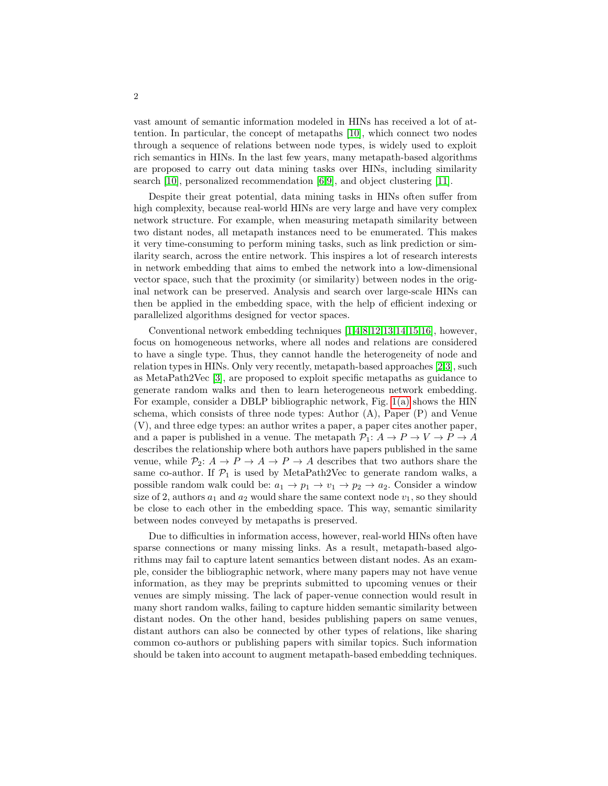vast amount of semantic information modeled in HINs has received a lot of attention. In particular, the concept of metapaths [\[10\]](#page-11-0), which connect two nodes through a sequence of relations between node types, is widely used to exploit rich semantics in HINs. In the last few years, many metapath-based algorithms are proposed to carry out data mining tasks over HINs, including similarity search [\[10\]](#page-11-0), personalized recommendation [\[6,](#page-11-1)[9\]](#page-11-2), and object clustering [\[11\]](#page-11-3).

Despite their great potential, data mining tasks in HINs often suffer from high complexity, because real-world HINs are very large and have very complex network structure. For example, when measuring metapath similarity between two distant nodes, all metapath instances need to be enumerated. This makes it very time-consuming to perform mining tasks, such as link prediction or similarity search, across the entire network. This inspires a lot of research interests in network embedding that aims to embed the network into a low-dimensional vector space, such that the proximity (or similarity) between nodes in the original network can be preserved. Analysis and search over large-scale HINs can then be applied in the embedding space, with the help of efficient indexing or parallelized algorithms designed for vector spaces.

Conventional network embedding techniques [\[1,](#page-11-4)[4](#page-11-5)[,8](#page-11-6)[,12](#page-11-7)[,13,](#page-11-8)[14,](#page-11-9)[15](#page-11-10)[,16\]](#page-11-11), however, focus on homogeneous networks, where all nodes and relations are considered to have a single type. Thus, they cannot handle the heterogeneity of node and relation types in HINs. Only very recently, metapath-based approaches [\[2,](#page-11-12)[3\]](#page-11-13), such as MetaPath2Vec [\[3\]](#page-11-13), are proposed to exploit specific metapaths as guidance to generate random walks and then to learn heterogeneous network embedding. For example, consider a DBLP bibliographic network, Fig. [1\(a\)](#page-2-0) shows the HIN schema, which consists of three node types: Author (A), Paper (P) and Venue (V), and three edge types: an author writes a paper, a paper cites another paper, and a paper is published in a venue. The metapath  $\mathcal{P}_1: A \to P \to V \to P \to A$ describes the relationship where both authors have papers published in the same venue, while  $P_2: A \to P \to A \to P \to A$  describes that two authors share the same co-author. If  $\mathcal{P}_1$  is used by MetaPath2Vec to generate random walks, a possible random walk could be:  $a_1 \rightarrow p_1 \rightarrow v_1 \rightarrow p_2 \rightarrow a_2$ . Consider a window size of 2, authors  $a_1$  and  $a_2$  would share the same context node  $v_1$ , so they should be close to each other in the embedding space. This way, semantic similarity between nodes conveyed by metapaths is preserved.

Due to difficulties in information access, however, real-world HINs often have sparse connections or many missing links. As a result, metapath-based algorithms may fail to capture latent semantics between distant nodes. As an example, consider the bibliographic network, where many papers may not have venue information, as they may be preprints submitted to upcoming venues or their venues are simply missing. The lack of paper-venue connection would result in many short random walks, failing to capture hidden semantic similarity between distant nodes. On the other hand, besides publishing papers on same venues, distant authors can also be connected by other types of relations, like sharing common co-authors or publishing papers with similar topics. Such information should be taken into account to augment metapath-based embedding techniques.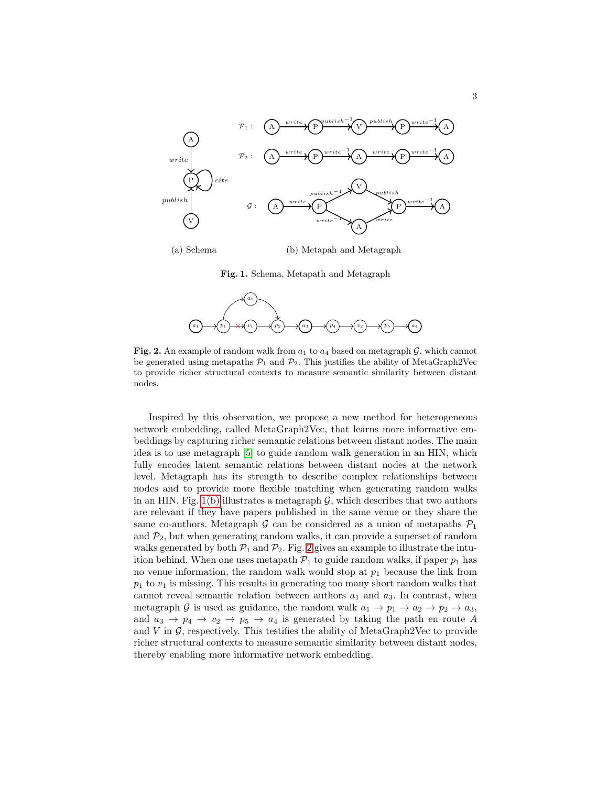<span id="page-2-0"></span>

(a) Schema

(b) Metapah and Metagraph

<span id="page-2-1"></span>Fig. 1. Schema, Metapath and Metagraph



<span id="page-2-2"></span>Fig. 2. An example of random walk from  $a_1$  to  $a_4$  based on metagraph  $\mathcal{G}$ , which cannot be generated using metapaths  $\mathcal{P}_1$  and  $\mathcal{P}_2$ . This justifies the ability of MetaGraph2Vec to provide richer structural contexts to measure semantic similarity between distant nodes.

Inspired by this observation, we propose a new method for heterogeneous network embedding, called MetaGraph2Vec, that learns more informative embeddings by capturing richer semantic relations between distant nodes. The main idea is to use metagraph [\[5\]](#page-11-14) to guide random walk generation in an HIN, which fully encodes latent semantic relations between distant nodes at the network level. Metagraph has its strength to describe complex relationships between nodes and to provide more flexible matching when generating random walks in an HIN. Fig. [1\(b\)](#page-2-1) illustrates a metagraph  $G$ , which describes that two authors are relevant if they have papers published in the same venue or they share the same co-authors. Metagraph  $G$  can be considered as a union of metapaths  $\mathcal{P}_1$ and  $\mathcal{P}_2$ , but when generating random walks, it can provide a superset of random walks generated by both  $P_1$  and  $P_2$ . Fig. [2](#page-2-2) gives an example to illustrate the intuition behind. When one uses metapath  $\mathcal{P}_1$  to guide random walks, if paper  $p_1$  has no venue information, the random walk would stop at  $p_1$  because the link from  $p_1$  to  $v_1$  is missing. This results in generating too many short random walks that cannot reveal semantic relation between authors  $a_1$  and  $a_3$ . In contrast, when metagraph G is used as guidance, the random walk  $a_1 \rightarrow p_1 \rightarrow a_2 \rightarrow p_2 \rightarrow a_3$ , and  $a_3 \rightarrow p_4 \rightarrow v_2 \rightarrow p_5 \rightarrow a_4$  is generated by taking the path en route A and V in  $\mathcal G$ , respectively. This testifies the ability of MetaGraph2Vec to provide richer structural contexts to measure semantic similarity between distant nodes, thereby enabling more informative network embedding.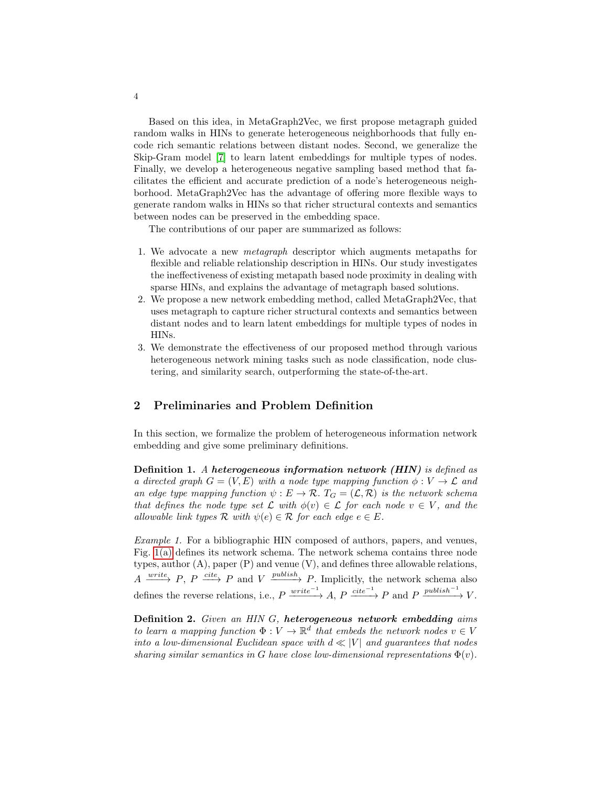Based on this idea, in MetaGraph2Vec, we first propose metagraph guided random walks in HINs to generate heterogeneous neighborhoods that fully encode rich semantic relations between distant nodes. Second, we generalize the Skip-Gram model [\[7\]](#page-11-15) to learn latent embeddings for multiple types of nodes. Finally, we develop a heterogeneous negative sampling based method that facilitates the efficient and accurate prediction of a node's heterogeneous neighborhood. MetaGraph2Vec has the advantage of offering more flexible ways to generate random walks in HINs so that richer structural contexts and semantics between nodes can be preserved in the embedding space.

The contributions of our paper are summarized as follows:

- 1. We advocate a new *metagraph* descriptor which augments metapaths for flexible and reliable relationship description in HINs. Our study investigates the ineffectiveness of existing metapath based node proximity in dealing with sparse HINs, and explains the advantage of metagraph based solutions.
- 2. We propose a new network embedding method, called MetaGraph2Vec, that uses metagraph to capture richer structural contexts and semantics between distant nodes and to learn latent embeddings for multiple types of nodes in HINs.
- 3. We demonstrate the effectiveness of our proposed method through various heterogeneous network mining tasks such as node classification, node clustering, and similarity search, outperforming the state-of-the-art.

## 2 Preliminaries and Problem Definition

In this section, we formalize the problem of heterogeneous information network embedding and give some preliminary definitions.

Definition 1. *A* heterogeneous information network (HIN) *is defined as a directed graph*  $G = (V, E)$  *with a node type mapping function*  $\phi : V \to \mathcal{L}$  *and an edge type mapping function*  $\psi : E \to \mathcal{R}$ .  $T_G = (\mathcal{L}, \mathcal{R})$  *is the network schema that defines the node type set*  $\mathcal L$  *with*  $\phi(v) \in \mathcal L$  *for each node*  $v \in V$ *, and the allowable link types*  $\mathcal{R}$  *with*  $\psi(e) \in \mathcal{R}$  *for each edge*  $e \in E$ *.* 

*Example 1.* For a bibliographic HIN composed of authors, papers, and venues, Fig. [1\(a\)](#page-2-0) defines its network schema. The network schema contains three node types, author (A), paper (P) and venue (V), and defines three allowable relations,  $A \xrightarrow{write} P, P \xrightarrow{cite} P$  and  $V \xrightarrow{publicity} P$ . Implicitly, the network schema also defines the reverse relations, i.e.,  $P \xrightarrow{write^{-1}} A$ ,  $P \xrightarrow{cite^{-1}} P$  and  $P \xrightarrow{publich^{-1}} V$ .

Definition 2. *Given an HIN* G*,* heterogeneous network embedding *aims to learn a mapping function*  $\Phi: V \to \mathbb{R}^d$  *that embeds the network nodes*  $v \in V$ *into a low-dimensional Euclidean space with*  $d \ll |V|$  *and guarantees that nodes sharing similar semantics in* G *have close low-dimensional representations*  $\Phi(v)$ *.* 

4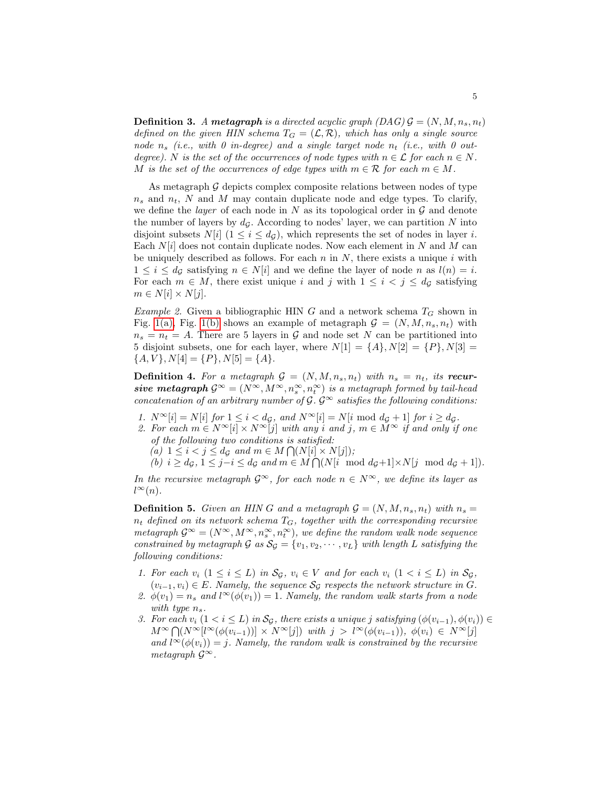**Definition 3.** A metagraph is a directed acyclic graph  $(DAG)$   $\mathcal{G} = (N, M, n_s, n_t)$ *defined on the given HIN schema*  $T_G = (\mathcal{L}, \mathcal{R})$ *, which has only a single source node*  $n_s$  (*i.e., with* 0 *in-degree*) and a single target node  $n_t$  (*i.e., with* 0 *outdegree).* N *is the set of the occurrences of node types with*  $n \in \mathcal{L}$  *for each*  $n \in N$ *.* M is the set of the occurrences of edge types with  $m \in \mathcal{R}$  for each  $m \in M$ .

As metagraph  $G$  depicts complex composite relations between nodes of type  $n_s$  and  $n_t$ , N and M may contain duplicate node and edge types. To clarify, we define the *layer* of each node in  $N$  as its topological order in  $\mathcal G$  and denote the number of layers by  $d_{\mathcal{G}}$ . According to nodes' layer, we can partition N into disjoint subsets  $N[i]$   $(1 \leq i \leq d_{\mathcal{G}})$ , which represents the set of nodes in layer *i*. Each  $N[i]$  does not contain duplicate nodes. Now each element in N and M can be uniquely described as follows. For each n in  $N$ , there exists a unique i with  $1 \leq i \leq d_{\mathcal{G}}$  satisfying  $n \in N[i]$  and we define the layer of node n as  $l(n) = i$ . For each  $m \in M$ , there exist unique i and j with  $1 \leq i \leq j \leq d_{\mathcal{G}}$  satisfying  $m \in N[i] \times N[j].$ 

*Example 2.* Given a bibliographic HIN G and a network schema  $T_G$  shown in Fig. [1\(a\),](#page-2-0) Fig. [1\(b\)](#page-2-1) shows an example of metagraph  $\mathcal{G} = (N, M, n_s, n_t)$  with  $n_s = n_t = A$ . There are 5 layers in G and node set N can be partitioned into 5 disjoint subsets, one for each layer, where  $N[1] = \{A\}, N[2] = \{P\}, N[3] =$  ${A, V}, N[4] = {P}, N[5] = {A}.$ 

**Definition 4.** For a metagraph  $G = (N, M, n_s, n_t)$  with  $n_s = n_t$ , its recursive metagraph  $\mathcal{G}^{\infty} = (N^{\infty}, M^{\infty}, n_{s}^{\infty}, n_{t}^{\infty})$  is a metagraph formed by tail-head *concatenation of an arbitrary number of*  $\mathcal{G}$ *.*  $\mathcal{G}^{\infty}$  *satisfies the following conditions:* 

- *1.*  $N^{\infty}[i] = N[i]$  *for*  $1 \leq i < d_{\mathcal{G}}$ *, and*  $N^{\infty}[i] = N[i \mod d_{\mathcal{G}} + 1]$  *for*  $i \geq d_{\mathcal{G}}$ *.*
- 2. For each  $m \in N^{\infty}[i] \times N^{\infty}[j]$  *with any* i and j,  $m \in M^{\infty}$  if and only if one *of the following two conditions is satisfied:*  $(a)$   $1 \leq i < j \leq d_{\mathcal{G}}$  *and*  $m \in M \bigcap (N[i] \times N[j])$ ;

 $(b)$   $i \geq d_{\mathcal{G}}, 1 \leq j-i \leq d_{\mathcal{G}}$  and  $m \in M \bigcap (N[i \mod d_{\mathcal{G}}+1] \times N[j \mod d_{\mathcal{G}}+1]).$ 

*In the recursive metagraph*  $\mathcal{G}^{\infty}$ *, for each node*  $n \in \mathbb{N}^{\infty}$ *, we define its layer as*  $l^{\infty}(n)$ .

<span id="page-4-0"></span>**Definition 5.** Given an HIN G and a metagraph  $\mathcal{G} = (N, M, n_s, n_t)$  with  $n_s =$ n<sup>t</sup> *defined on its network schema* TG*, together with the corresponding recursive*  $\mathit{metagraph}$   $\mathcal{G}^{\infty} = (N^{\infty}, M^{\infty}, n^{\infty}_s, n^{\infty}_t)$ , we define the random walk node sequence *constrained by metagraph*  $G$  *as*  $S_G = \{v_1, v_2, \dots, v_L\}$  *with length* L *satisfying the following conditions:*

- *1. For each*  $v_i$   $(1 \leq i \leq L)$  *in*  $S_{\mathcal{G}}$ *,*  $v_i \in V$  *and for each*  $v_i$   $(1 \leq i \leq L)$  *in*  $S_{\mathcal{G}}$ *,*  $(v_{i-1}, v_i) \in E$ . Namely, the sequence  $\mathcal{S}_{\mathcal{G}}$  respects the network structure in G.
- 2.  $\phi(v_1) = n_s$  and  $l^{\infty}(\phi(v_1)) = 1$ . Namely, the random walk starts from a node *with type*  $n_s$ .
- *3. For each*  $v_i$  (1 < i ≤ L) in  $\mathcal{S}_G$ , there exists a unique j satisfying  $(\phi(v_{i-1}), \phi(v_i))$  $M^{\infty} \bigcap (N^{\infty}[l^{\infty}(\phi(v_{i-1}))] \times N^{\infty}[j])$  with  $j > l^{\infty}(\phi(v_{i-1}))$ ,  $\phi(v_i) \in N^{\infty}[j]$ and  $l^{\infty}(\phi(v_i)) = j$ . Namely, the random walk is constrained by the recursive *metagraph*  $\mathcal{G}^{\infty}$ *.*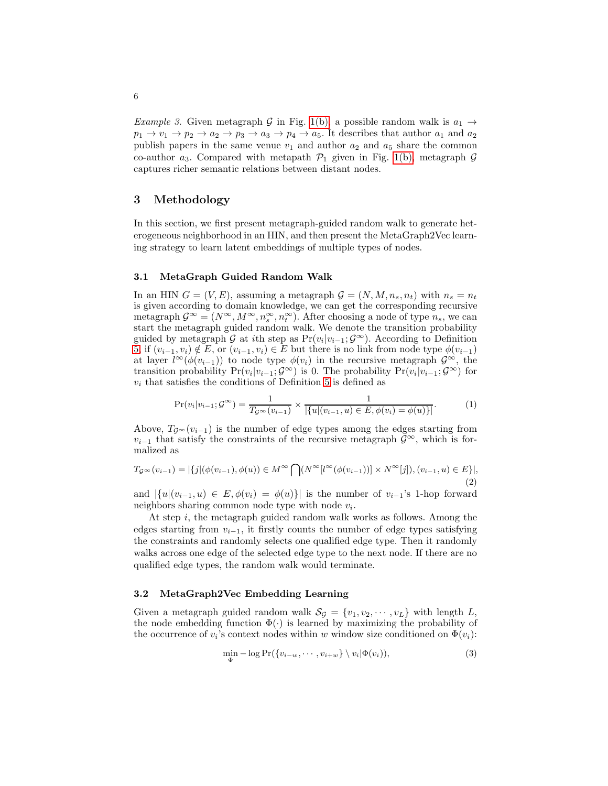*Example 3.* Given metagraph G in Fig. [1\(b\),](#page-2-1) a possible random walk is  $a_1 \rightarrow a_2$  $p_1 \rightarrow v_1 \rightarrow p_2 \rightarrow a_2 \rightarrow p_3 \rightarrow a_3 \rightarrow p_4 \rightarrow a_5$ . It describes that author  $a_1$  and  $a_2$ publish papers in the same venue  $v_1$  and author  $a_2$  and  $a_5$  share the common co-author  $a_3$ . Compared with metapath  $\mathcal{P}_1$  given in Fig. [1\(b\),](#page-2-1) metagraph  $\mathcal G$ captures richer semantic relations between distant nodes.

## 3 Methodology

In this section, we first present metagraph-guided random walk to generate heterogeneous neighborhood in an HIN, and then present the MetaGraph2Vec learning strategy to learn latent embeddings of multiple types of nodes.

#### 3.1 MetaGraph Guided Random Walk

In an HIN  $G = (V, E)$ , assuming a metagraph  $\mathcal{G} = (N, M, n_s, n_t)$  with  $n_s = n_t$ is given according to domain knowledge, we can get the corresponding recursive metagraph  $\mathcal{G}^{\infty} = (N^{\infty}, M^{\infty}, n_s^{\infty}, n_t^{\infty})$ . After choosing a node of type  $n_s$ , we can start the metagraph guided random walk. We denote the transition probability guided by metagraph  $\mathcal G$  at *i*th step as Pr $(v_i|v_{i-1}; \mathcal G^{\infty})$ . According to Definition [5,](#page-4-0) if  $(v_{i-1}, v_i) \notin E$ , or  $(v_{i-1}, v_i) \in E$  but there is no link from node type  $\phi(v_{i-1})$ at layer  $l^{\infty}(\phi(v_{i-1}))$  to node type  $\phi(v_i)$  in the recursive metagraph  $\mathcal{G}^{\infty}$ , the transition probability  $Pr(v_i|v_{i-1}; G^{\infty})$  is 0. The probability  $Pr(v_i|v_{i-1}; G^{\infty})$  for  $v_i$  that satisfies the conditions of Definition [5](#page-4-0) is defined as

$$
\Pr(v_i|v_{i-1};\mathcal{G}^{\infty}) = \frac{1}{T_{\mathcal{G}^{\infty}}(v_{i-1})} \times \frac{1}{|\{u|(v_{i-1},u) \in E, \phi(v_i) = \phi(u)\}|}. \tag{1}
$$

Above,  $T_{\mathcal{G}} \propto (v_{i-1})$  is the number of edge types among the edges starting from  $v_{i-1}$  that satisfy the constraints of the recursive metagraph  $\mathcal{G}^{\infty}$ , which is formalized as

$$
T_{\mathcal{G}^{\infty}}(v_{i-1}) = |\{j | (\phi(v_{i-1}), \phi(u)) \in M^{\infty} \bigcap (N^{\infty}[l^{\infty}(\phi(v_{i-1}))] \times N^{\infty}[j]), (v_{i-1}, u) \in E \}|,
$$
\n(2)

and  $|\{u|(v_{i-1}, u) \in E, \phi(v_i) = \phi(u)\}|$  is the number of  $v_{i-1}$ 's 1-hop forward neighbors sharing common node type with node  $v_i$ .

At step  $i$ , the metagraph guided random walk works as follows. Among the edges starting from  $v_{i-1}$ , it firstly counts the number of edge types satisfying the constraints and randomly selects one qualified edge type. Then it randomly walks across one edge of the selected edge type to the next node. If there are no qualified edge types, the random walk would terminate.

#### 3.2 MetaGraph2Vec Embedding Learning

Given a metagraph guided random walk  $S_{\mathcal{G}} = \{v_1, v_2, \cdots, v_L\}$  with length L, the node embedding function  $\Phi(\cdot)$  is learned by maximizing the probability of the occurrence of  $v_i$ 's context nodes within w window size conditioned on  $\Phi(v_i)$ :

$$
\min_{\Phi} -\log \Pr(\{v_{i-w}, \cdots, v_{i+w}\} \setminus v_i | \Phi(v_i)),\tag{3}
$$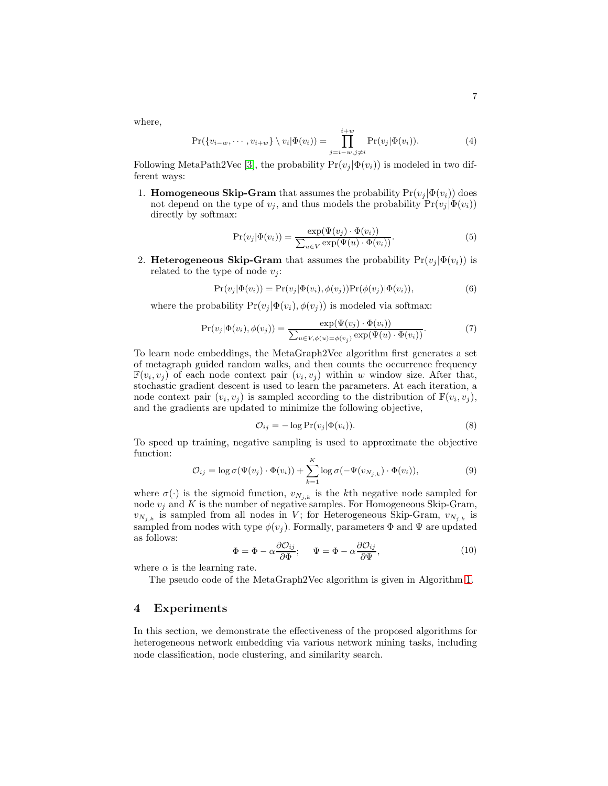where,

$$
\Pr(\{v_{i-w},\cdots,v_{i+w}\}\setminus v_i|\Phi(v_i))=\prod_{j=i-w,j\neq i}^{i+w}\Pr(v_j|\Phi(v_i)).\tag{4}
$$

Following MetaPath2Vec [\[3\]](#page-11-13), the probability  $Pr(v_i | \Phi(v_i))$  is modeled in two different ways:

1. **Homogeneous Skip-Gram** that assumes the probability  $Pr(v_i | \Phi(v_i))$  does not depend on the type of  $v_i$ , and thus models the probability  $Pr(v_i | \Phi(v_i))$ directly by softmax:

$$
Pr(v_j|\Phi(v_i)) = \frac{\exp(\Psi(v_j) \cdot \Phi(v_i))}{\sum_{u \in V} \exp(\Psi(u) \cdot \Phi(v_i))}.
$$
\n
$$
(5)
$$

2. Heterogeneous Skip-Gram that assumes the probability  $Pr(v_i | \Phi(v_i))$  is related to the type of node  $v_i$ :

$$
Pr(v_j|\Phi(v_i)) = Pr(v_j|\Phi(v_i), \phi(v_j))Pr(\phi(v_j)|\Phi(v_i)),
$$
\n(6)

where the probability  $Pr(v_j | \Phi(v_i), \phi(v_j))$  is modeled via softmax:

$$
Pr(v_j|\Phi(v_i), \phi(v_j)) = \frac{\exp(\Psi(v_j) \cdot \Phi(v_i))}{\sum_{u \in V, \phi(u) = \phi(v_j)} \exp(\Psi(u) \cdot \Phi(v_i))}.
$$
(7)

To learn node embeddings, the MetaGraph2Vec algorithm first generates a set of metagraph guided random walks, and then counts the occurrence frequency  $\mathbb{F}(v_i, v_j)$  of each node context pair  $(v_i, v_j)$  within w window size. After that, stochastic gradient descent is used to learn the parameters. At each iteration, a node context pair  $(v_i, v_j)$  is sampled according to the distribution of  $\mathbb{F}(v_i, v_j)$ , and the gradients are updated to minimize the following objective,

$$
O_{ij} = -\log \Pr(v_j|\Phi(v_i)).\tag{8}
$$

To speed up training, negative sampling is used to approximate the objective function:

$$
\mathcal{O}_{ij} = \log \sigma(\Psi(v_j) \cdot \Phi(v_i)) + \sum_{k=1}^{K} \log \sigma(-\Psi(v_{N_{j,k}}) \cdot \Phi(v_i)),
$$
\n(9)

where  $\sigma(\cdot)$  is the sigmoid function,  $v_{N_{j,k}}$  is the kth negative node sampled for node  $v_j$  and K is the number of negative samples. For Homogeneous Skip-Gram,  $v_{N_{j,k}}$  is sampled from all nodes in V; for Heterogeneous Skip-Gram,  $v_{N_{j,k}}$  is sampled from nodes with type  $\phi(v_j)$ . Formally, parameters  $\Phi$  and  $\Psi$  are updated as follows:

<span id="page-6-0"></span>
$$
\Phi = \Phi - \alpha \frac{\partial \mathcal{O}_{ij}}{\partial \Phi}; \quad \Psi = \Phi - \alpha \frac{\partial \mathcal{O}_{ij}}{\partial \Psi}, \tag{10}
$$

where  $\alpha$  is the learning rate.

The pseudo code of the MetaGraph2Vec algorithm is given in Algorithm [1.](#page-7-0)

## 4 Experiments

In this section, we demonstrate the effectiveness of the proposed algorithms for heterogeneous network embedding via various network mining tasks, including node classification, node clustering, and similarity search.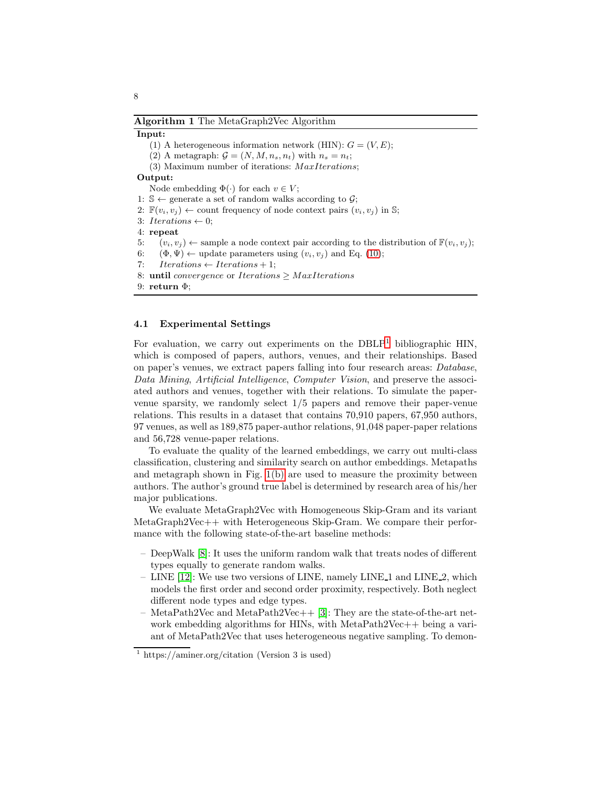<span id="page-7-0"></span>Algorithm 1 The MetaGraph2Vec Algorithm

#### Input:

(1) A heterogeneous information network (HIN):  $G = (V, E);$ (2) A metagraph:  $\mathcal{G} = (N, M, n_s, n_t)$  with  $n_s = n_t$ ; (3) Maximum number of iterations: MaxIterations; Output: Node embedding  $\Phi(\cdot)$  for each  $v \in V$ ; 1:  $\mathbb{S} \leftarrow$  generate a set of random walks according to  $\mathcal{G}$ ; 2:  $\mathbb{F}(v_i, v_j) \leftarrow$  count frequency of node context pairs  $(v_i, v_j)$  in S; 3: Iterations  $\leftarrow 0$ ; 4: repeat 5:  $(v_i, v_j) \leftarrow$  sample a node context pair according to the distribution of  $\mathbb{F}(v_i, v_j)$ ; 6:  $(\Phi, \Psi) \leftarrow$  update parameters using  $(v_i, v_j)$  and Eq. [\(10\)](#page-6-0); 7:  $Iterations \leftarrow Iterations + 1;$ 8: until convergence or Iterations  $\geq$  MaxIterations 9: return Φ;

#### 4.1 Experimental Settings

For evaluation, we carry out experiments on the  $DBLP<sup>1</sup>$  $DBLP<sup>1</sup>$  $DBLP<sup>1</sup>$  bibliographic HIN, which is composed of papers, authors, venues, and their relationships. Based on paper's venues, we extract papers falling into four research areas: *Database*, *Data Mining*, *Artificial Intelligence*, *Computer Vision*, and preserve the associated authors and venues, together with their relations. To simulate the papervenue sparsity, we randomly select 1/5 papers and remove their paper-venue relations. This results in a dataset that contains 70,910 papers, 67,950 authors, 97 venues, as well as 189,875 paper-author relations, 91,048 paper-paper relations and 56,728 venue-paper relations.

To evaluate the quality of the learned embeddings, we carry out multi-class classification, clustering and similarity search on author embeddings. Metapaths and metagraph shown in Fig. [1\(b\)](#page-2-1) are used to measure the proximity between authors. The author's ground true label is determined by research area of his/her major publications.

We evaluate MetaGraph2Vec with Homogeneous Skip-Gram and its variant MetaGraph2Vec++ with Heterogeneous Skip-Gram. We compare their performance with the following state-of-the-art baseline methods:

- DeepWalk [\[8\]](#page-11-6): It uses the uniform random walk that treats nodes of different types equally to generate random walks.
- LINE [\[12\]](#page-11-7): We use two versions of LINE, namely LINE 1 and LINE 2, which models the first order and second order proximity, respectively. Both neglect different node types and edge types.
- $-$  MetaPath2Vec and MetaPath2Vec++ [\[3\]](#page-11-13): They are the state-of-the-art network embedding algorithms for HINs, with MetaPath2Vec++ being a variant of MetaPath2Vec that uses heterogeneous negative sampling. To demon-

<span id="page-7-1"></span><sup>&</sup>lt;sup>1</sup> https://aminer.org/citation (Version 3 is used)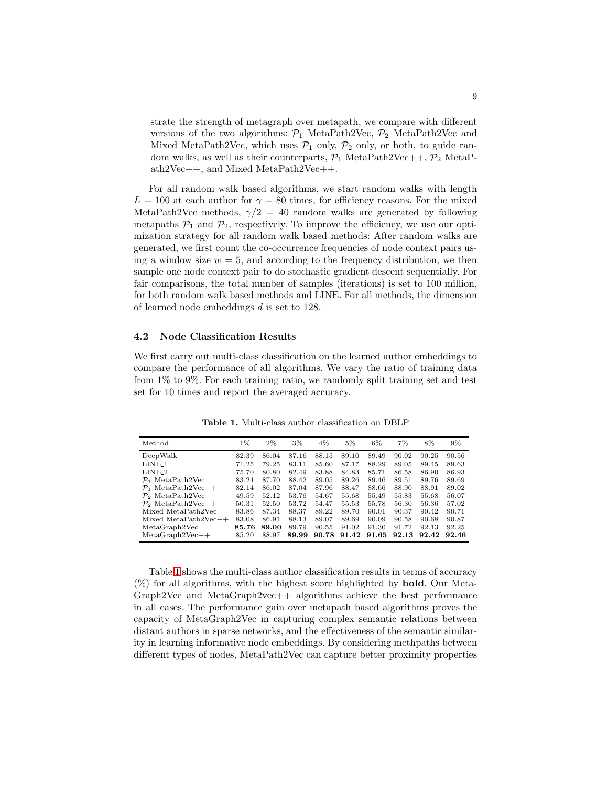strate the strength of metagraph over metapath, we compare with different versions of the two algorithms:  $P_1$  MetaPath2Vec,  $P_2$  MetaPath2Vec and Mixed MetaPath2Vec, which uses  $P_1$  only,  $P_2$  only, or both, to guide random walks, as well as their counterparts,  $P_1$  MetaPath2Vec++,  $P_2$  MetaPath2Vec++, and Mixed MetaPath2Vec++.

For all random walk based algorithms, we start random walks with length  $L = 100$  at each author for  $\gamma = 80$  times, for efficiency reasons. For the mixed MetaPath2Vec methods,  $\gamma/2 = 40$  random walks are generated by following metapaths  $\mathcal{P}_1$  and  $\mathcal{P}_2$ , respectively. To improve the efficiency, we use our optimization strategy for all random walk based methods: After random walks are generated, we first count the co-occurrence frequencies of node context pairs using a window size  $w = 5$ , and according to the frequency distribution, we then sample one node context pair to do stochastic gradient descent sequentially. For fair comparisons, the total number of samples (iterations) is set to 100 million, for both random walk based methods and LINE. For all methods, the dimension of learned node embeddings d is set to 128.

#### 4.2 Node Classification Results

We first carry out multi-class classification on the learned author embeddings to compare the performance of all algorithms. We vary the ratio of training data from 1% to 9%. For each training ratio, we randomly split training set and test set for 10 times and report the averaged accuracy.

| Method                         | $1\%$ | $2\%$ | 3%    | $4\%$ | 5%    | 6%    | 7%    | 8%    | 9%    |
|--------------------------------|-------|-------|-------|-------|-------|-------|-------|-------|-------|
| DeepWalk                       | 82.39 | 86.04 | 87.16 | 88.15 | 89.10 | 89.49 | 90.02 | 90.25 | 90.56 |
| LINE <sub>1</sub>              | 71.25 | 79.25 | 83.11 | 85.60 | 87.17 | 88.29 | 89.05 | 89.45 | 89.63 |
| LINE <sub>2</sub>              | 75.70 | 80.80 | 82.49 | 83.88 | 84.83 | 85.71 | 86.58 | 86.90 | 86.93 |
| $P_1$ MetaPath2Vec             | 83.24 | 87.70 | 88.42 | 89.05 | 89.26 | 89.46 | 89.51 | 89.76 | 89.69 |
| $P_1$ MetaPath2Vec++           | 82.14 | 86.02 | 87.04 | 87.96 | 88.47 | 88.66 | 88.90 | 88.91 | 89.02 |
| $P_2$ MetaPath2Vec             | 49.59 | 52.12 | 53.76 | 54.67 | 55.68 | 55.49 | 55.83 | 55.68 | 56.07 |
| $\mathcal{P}_2$ MetaPath2Vec++ | 50.31 | 52.50 | 53.72 | 54.47 | 55.53 | 55.78 | 56.30 | 56.36 | 57.02 |
| Mixed MetaPath2Vec             | 83.86 | 87.34 | 88.37 | 89.22 | 89.70 | 90.01 | 90.37 | 90.42 | 90.71 |
| $Mixed MetaPath2Vec++$         | 83.08 | 86.91 | 88.13 | 89.07 | 89.69 | 90.09 | 90.58 | 90.68 | 90.87 |
| MetaGraph2Vec                  | 85.76 | 89.00 | 89.79 | 90.55 | 91.02 | 91.30 | 91.72 | 92.13 | 92.25 |
| $MetaGraph2Vec++$              | 85.20 | 88.97 | 89.99 | 90.78 | 91.42 | 91.65 | 92.13 | 92.42 | 92.46 |

<span id="page-8-0"></span>Table 1. Multi-class author classification on DBLP

Table [1](#page-8-0) shows the multi-class author classification results in terms of accuracy (%) for all algorithms, with the highest score highlighted by bold. Our Meta-Graph2Vec and MetaGraph2vec++ algorithms achieve the best performance in all cases. The performance gain over metapath based algorithms proves the capacity of MetaGraph2Vec in capturing complex semantic relations between distant authors in sparse networks, and the effectiveness of the semantic similarity in learning informative node embeddings. By considering methpaths between different types of nodes, MetaPath2Vec can capture better proximity properties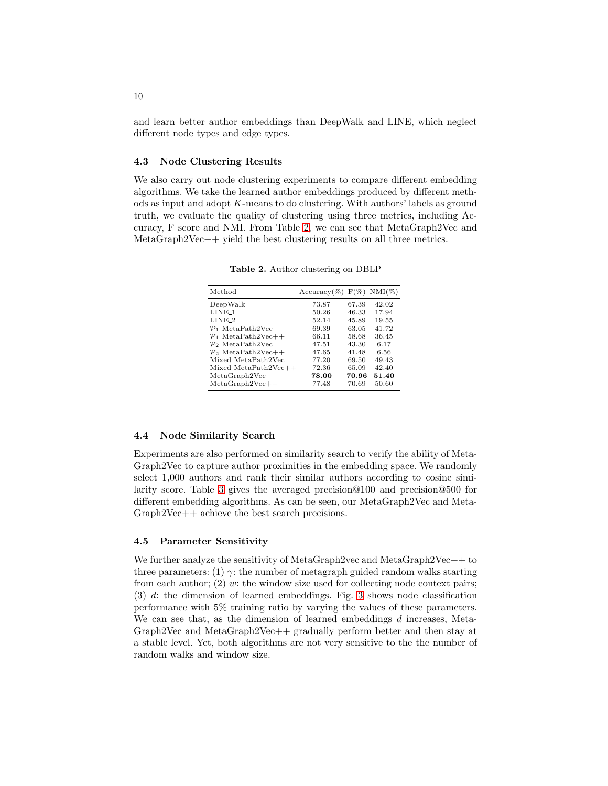and learn better author embeddings than DeepWalk and LINE, which neglect different node types and edge types.

#### 4.3 Node Clustering Results

We also carry out node clustering experiments to compare different embedding algorithms. We take the learned author embeddings produced by different methods as input and adopt  $K$ -means to do clustering. With authors' labels as ground truth, we evaluate the quality of clustering using three metrics, including Accuracy, F score and NMI. From Table [2,](#page-9-0) we can see that MetaGraph2Vec and MetaGraph2Vec++ yield the best clustering results on all three metrics.

| 73.87                           | 67.39 | 42.02                        |
|---------------------------------|-------|------------------------------|
| 50.26                           | 46.33 | 17.94                        |
| 52.14                           | 45.89 | 19.55                        |
| 69.39                           | 63.05 | 41.72                        |
| 66.11                           | 58.68 | 36.45                        |
| 47.51                           | 43.30 | 6.17                         |
| 47.65                           | 41.48 | 6.56                         |
| 77.20                           | 69.50 | 49.43                        |
| $Mixed MetaPath2Vec++$<br>72.36 | 65.09 | 42.40                        |
| 78.00                           | 70.96 | 51.40                        |
| 77.48                           | 70.69 | 50.60                        |
|                                 |       | $Accuracy(\%) F(\%) NMI(\%)$ |

<span id="page-9-0"></span>Table 2. Author clustering on DBLP

### 4.4 Node Similarity Search

Experiments are also performed on similarity search to verify the ability of Meta-Graph2Vec to capture author proximities in the embedding space. We randomly select 1,000 authors and rank their similar authors according to cosine similarity score. Table [3](#page-10-0) gives the averaged precision@100 and precision@500 for different embedding algorithms. As can be seen, our MetaGraph2Vec and Meta-Graph2Vec++ achieve the best search precisions.

#### 4.5 Parameter Sensitivity

We further analyze the sensitivity of MetaGraph2vec and MetaGraph2Vec++ to three parameters: (1)  $\gamma$ : the number of metagraph guided random walks starting from each author;  $(2)$  w: the window size used for collecting node context pairs; (3) d: the dimension of learned embeddings. Fig. [3](#page-10-1) shows node classification performance with 5% training ratio by varying the values of these parameters. We can see that, as the dimension of learned embeddings  $d$  increases, Meta-Graph2Vec and MetaGraph2Vec++ gradually perform better and then stay at a stable level. Yet, both algorithms are not very sensitive to the the number of random walks and window size.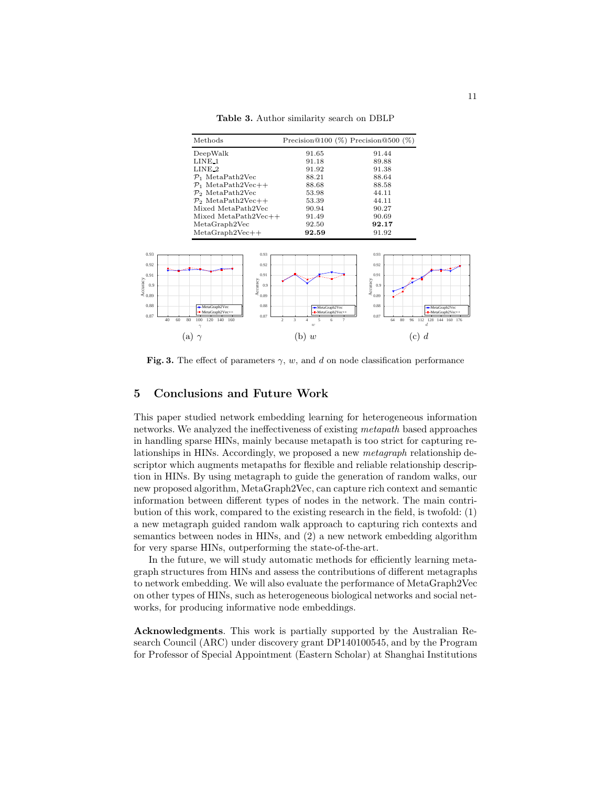<span id="page-10-0"></span>Table 3. Author similarity search on DBLP

| Methods                                                             |                                                                              | Precision@100 $(\%)$ Precision@500 $(\%)$ |                                                  |
|---------------------------------------------------------------------|------------------------------------------------------------------------------|-------------------------------------------|--------------------------------------------------|
| DeepWalk                                                            | 91.65                                                                        | 91.44                                     |                                                  |
| $LINE_1$                                                            | 91.18                                                                        | 89.88                                     |                                                  |
| $LINE_2$                                                            | 91.92                                                                        | 91.38                                     |                                                  |
| $P_1$ MetaPath2Vec                                                  | 88.21                                                                        | 88.64                                     |                                                  |
| $P_1$ MetaPath2Vec++                                                | 88.68                                                                        | 88.58                                     |                                                  |
| $\mathcal{P}_2$ MetaPath2Vec                                        | 53.98                                                                        | 44.11                                     |                                                  |
| $\mathcal{P}_2$ MetaPath2Vec++                                      | 53.39                                                                        | 44.11                                     |                                                  |
| Mixed MetaPath2Vec                                                  | 90.94                                                                        | 90.27                                     |                                                  |
| Mixed MetaPath2Vec++                                                | 91.49                                                                        | 90.69                                     |                                                  |
| MetaGraph2Vec                                                       | 92.50                                                                        | 92.17                                     |                                                  |
| $MetaGraph2Vec++$                                                   | 92.59                                                                        | 91.92                                     |                                                  |
|                                                                     |                                                                              |                                           |                                                  |
| 0.93<br>0.93                                                        |                                                                              | 0.93                                      |                                                  |
| 0.92<br>0.92                                                        |                                                                              | 0.92                                      |                                                  |
|                                                                     |                                                                              |                                           |                                                  |
| 0.91<br>0.91                                                        |                                                                              | 0.91                                      |                                                  |
| 0.9<br>0.9                                                          |                                                                              |                                           |                                                  |
| Accuracy<br>$\frac{0.9}{0.89}$<br>Accuracy<br>$\overset{0.9}{\sim}$ |                                                                              | $\xi_{0.89}$ $\sim$                       |                                                  |
|                                                                     |                                                                              |                                           |                                                  |
| 0.88<br>0.88<br>MetaGraph2Vec<br>-- MetaGraph2Vec++                 | -MetaGraph2Vec<br>-- MetaGraph2Vec++                                         | 0.88                                      | -MetaGraph2Vec<br>$\blacksquare$ MetaGraph2Vec++ |
| 0.87<br>0.87<br>40<br>60<br>80<br>120 140 160<br>100                | $\mathcal{D}$<br>$\overline{3}$<br>$\overline{5}$<br>$\tau$<br>$\Delta$<br>6 | 0.87<br>80<br>64<br>96                    | 112 128 144 160 176                              |
| h                                                                   | $\overline{w}$                                                               |                                           |                                                  |
| a                                                                   | w<br>b                                                                       | $\mathbf{c}$                              | d                                                |

<span id="page-10-1"></span>Fig. 3. The effect of parameters  $\gamma$ , w, and d on node classification performance

# 5 Conclusions and Future Work

This paper studied network embedding learning for heterogeneous information networks. We analyzed the ineffectiveness of existing *metapath* based approaches in handling sparse HINs, mainly because metapath is too strict for capturing relationships in HINs. Accordingly, we proposed a new *metagraph* relationship descriptor which augments metapaths for flexible and reliable relationship description in HINs. By using metagraph to guide the generation of random walks, our new proposed algorithm, MetaGraph2Vec, can capture rich context and semantic information between different types of nodes in the network. The main contribution of this work, compared to the existing research in the field, is twofold: (1) a new metagraph guided random walk approach to capturing rich contexts and semantics between nodes in HINs, and (2) a new network embedding algorithm for very sparse HINs, outperforming the state-of-the-art.

In the future, we will study automatic methods for efficiently learning metagraph structures from HINs and assess the contributions of different metagraphs to network embedding. We will also evaluate the performance of MetaGraph2Vec on other types of HINs, such as heterogeneous biological networks and social networks, for producing informative node embeddings.

Acknowledgments. This work is partially supported by the Australian Research Council (ARC) under discovery grant DP140100545, and by the Program for Professor of Special Appointment (Eastern Scholar) at Shanghai Institutions